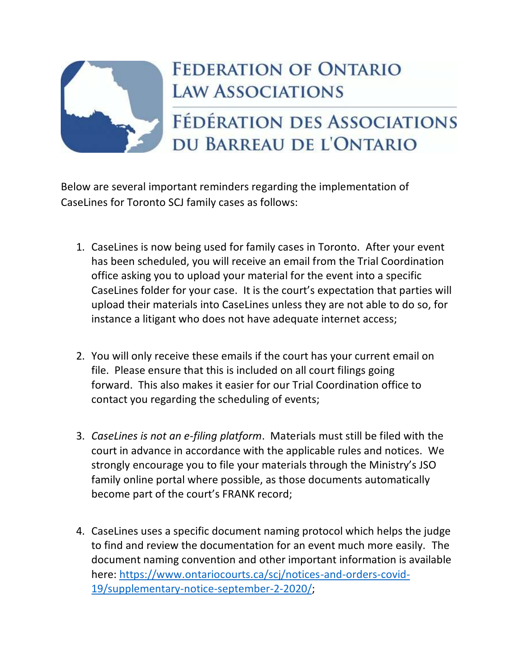

## **FEDERATION OF ONTARIO LAW ASSOCIATIONS**

## FÉDÉRATION DES ASSOCIATIONS DU BARREAU DE L'ONTARIO

Below are several important reminders regarding the implementation of CaseLines for Toronto SCJ family cases as follows:

- 1. CaseLines is now being used for family cases in Toronto. After your event has been scheduled, you will receive an email from the Trial Coordination office asking you to upload your material for the event into a specific CaseLines folder for your case. It is the court's expectation that parties will upload their materials into CaseLines unless they are not able to do so, for instance a litigant who does not have adequate internet access;
- 2. You will only receive these emails if the court has your current email on file. Please ensure that this is included on all court filings going forward. This also makes it easier for our Trial Coordination office to contact you regarding the scheduling of events;
- 3. *CaseLines is not an e-filing platform*. Materials must still be filed with the court in advance in accordance with the applicable rules and notices. We strongly encourage you to file your materials through the Ministry's JSO family online portal where possible, as those documents automatically become part of the court's FRANK record;
- 4. CaseLines uses a specific document naming protocol which helps the judge to find and review the documentation for an event much more easily. The document naming convention and other important information is available here: [https://www.ontariocourts.ca/scj/notices-and-orders-covid-](https://www.ontariocourts.ca/scj/notices-and-orders-covid-19/supplementary-notice-september-2-2020/)[19/supplementary-notice-september-2-2020/;](https://www.ontariocourts.ca/scj/notices-and-orders-covid-19/supplementary-notice-september-2-2020/)